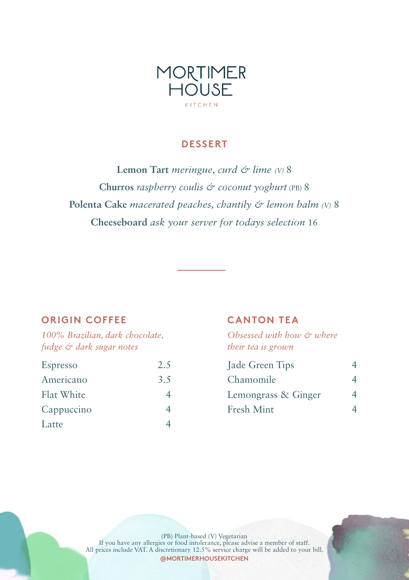

# **DESSERT**

**Lemon Tart** *meringue, curd & lime (V)* 8 **Churros** *raspberry coulis & coconut yoghurt* (PB) 8 **Polenta Cake** *macerated peaches, chantily & lemon balm (V)* 8 **Cheeseboard** *ask your server for todays selection* 16

# **ORIGIN COFFEE**

*100% Brazilian, dark chocolate, fudge & dark sugar notes*

| Espresso   | 2.5 |
|------------|-----|
| Americano  | 3.5 |
| Flat White |     |
| Cappuccino |     |
| Latte      |     |

# **CANTON TEA**

*Obsessed with how & where their tea is grown*

| Jade Green Tips     |  |
|---------------------|--|
| Chamomile           |  |
| Lemongrass & Ginger |  |
| Fresh Mint          |  |